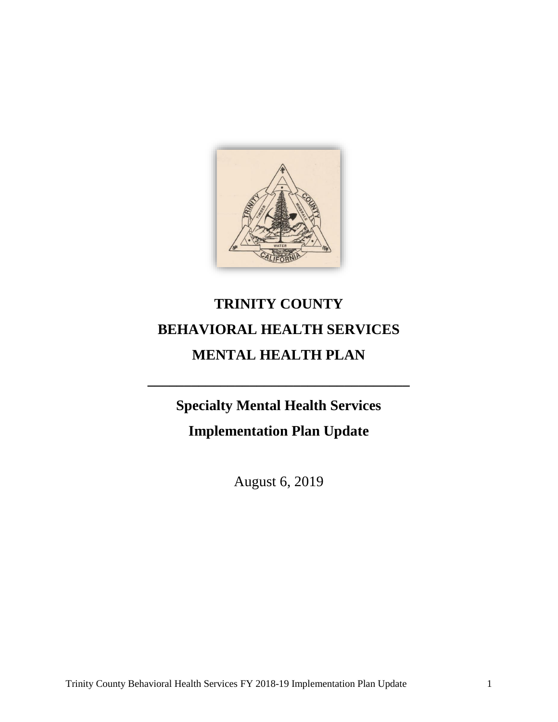

# **TRINITY COUNTY BEHAVIORAL HEALTH SERVICES MENTAL HEALTH PLAN**

**Specialty Mental Health Services**

**\_\_\_\_\_\_\_\_\_\_\_\_\_\_\_\_\_\_\_\_\_\_\_\_\_\_\_\_\_\_\_\_\_\_\_\_**

**Implementation Plan Update**

August 6, 2019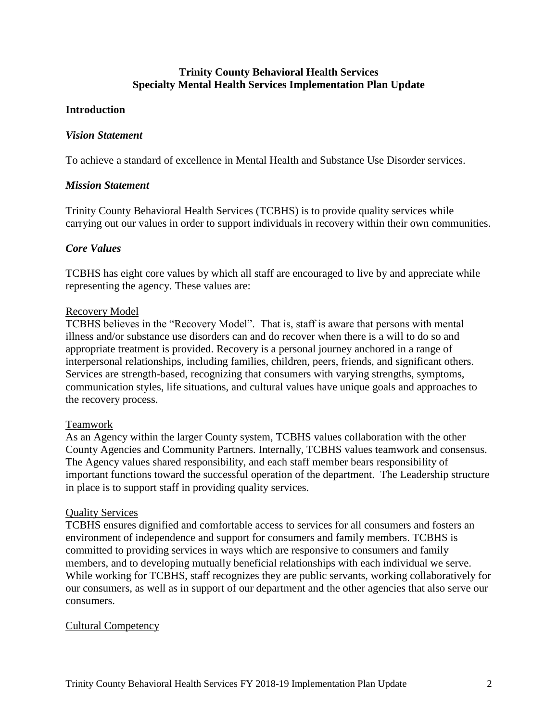## **Trinity County Behavioral Health Services Specialty Mental Health Services Implementation Plan Update**

#### **Introduction**

#### *Vision Statement*

To achieve a standard of excellence in Mental Health and Substance Use Disorder services.

#### *Mission Statement*

Trinity County Behavioral Health Services (TCBHS) is to provide quality services while carrying out our values in order to support individuals in recovery within their own communities.

#### *Core Values*

TCBHS has eight core values by which all staff are encouraged to live by and appreciate while representing the agency. These values are:

#### Recovery Model

TCBHS believes in the "Recovery Model". That is, staff is aware that persons with mental illness and/or substance use disorders can and do recover when there is a will to do so and appropriate treatment is provided. Recovery is a personal journey anchored in a range of interpersonal relationships, including families, children, peers, friends, and significant others. Services are strength-based, recognizing that consumers with varying strengths, symptoms, communication styles, life situations, and cultural values have unique goals and approaches to the recovery process.

#### Teamwork

As an Agency within the larger County system, TCBHS values collaboration with the other County Agencies and Community Partners. Internally, TCBHS values teamwork and consensus. The Agency values shared responsibility, and each staff member bears responsibility of important functions toward the successful operation of the department. The Leadership structure in place is to support staff in providing quality services.

#### Quality Services

TCBHS ensures dignified and comfortable access to services for all consumers and fosters an environment of independence and support for consumers and family members. TCBHS is committed to providing services in ways which are responsive to consumers and family members, and to developing mutually beneficial relationships with each individual we serve. While working for TCBHS, staff recognizes they are public servants, working collaboratively for our consumers, as well as in support of our department and the other agencies that also serve our consumers.

#### Cultural Competency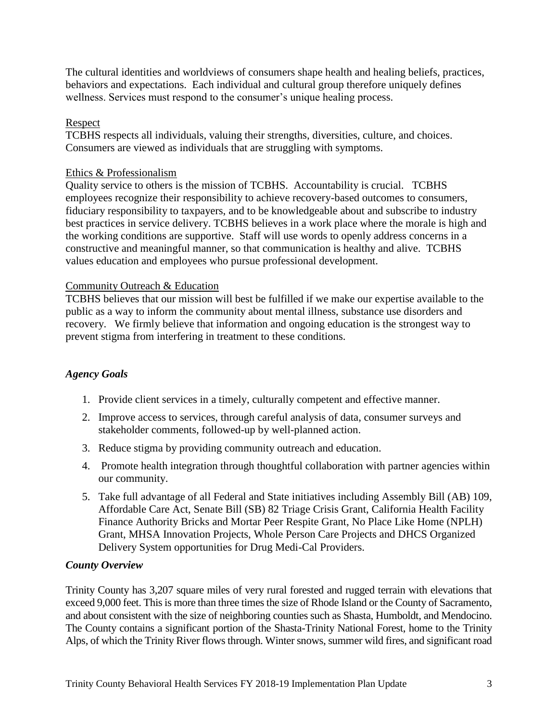The cultural identities and worldviews of consumers shape health and healing beliefs, practices, behaviors and expectations. Each individual and cultural group therefore uniquely defines wellness. Services must respond to the consumer's unique healing process.

#### Respect

TCBHS respects all individuals, valuing their strengths, diversities, culture, and choices. Consumers are viewed as individuals that are struggling with symptoms.

## Ethics & Professionalism

Quality service to others is the mission of TCBHS. Accountability is crucial. TCBHS employees recognize their responsibility to achieve recovery-based outcomes to consumers, fiduciary responsibility to taxpayers, and to be knowledgeable about and subscribe to industry best practices in service delivery. TCBHS believes in a work place where the morale is high and the working conditions are supportive. Staff will use words to openly address concerns in a constructive and meaningful manner, so that communication is healthy and alive. TCBHS values education and employees who pursue professional development.

## Community Outreach & Education

TCBHS believes that our mission will best be fulfilled if we make our expertise available to the public as a way to inform the community about mental illness, substance use disorders and recovery. We firmly believe that information and ongoing education is the strongest way to prevent stigma from interfering in treatment to these conditions.

## *Agency Goals*

- 1. Provide client services in a timely, culturally competent and effective manner.
- 2. Improve access to services, through careful analysis of data, consumer surveys and stakeholder comments, followed-up by well-planned action.
- 3. Reduce stigma by providing community outreach and education.
- 4. Promote health integration through thoughtful collaboration with partner agencies within our community.
- 5. Take full advantage of all Federal and State initiatives including Assembly Bill (AB) 109, Affordable Care Act, Senate Bill (SB) 82 Triage Crisis Grant, California Health Facility Finance Authority Bricks and Mortar Peer Respite Grant, No Place Like Home (NPLH) Grant, MHSA Innovation Projects, Whole Person Care Projects and DHCS Organized Delivery System opportunities for Drug Medi-Cal Providers.

#### *County Overview*

Trinity County has 3,207 square miles of very rural forested and rugged terrain with elevations that exceed 9,000 feet. This is more than three times the size of Rhode Island or the County of Sacramento, and about consistent with the size of neighboring counties such as Shasta, Humboldt, and Mendocino. The County contains a significant portion of the [Shasta-Trinity National Forest,](http://en.wikipedia.org/wiki/Shasta-Trinity_National_Forest) home to the [Trinity](http://en.wikipedia.org/wiki/Trinity_Alps)  [Alps,](http://en.wikipedia.org/wiki/Trinity_Alps) of which the Trinity River flows through. Winter snows, summer wild fires, and significant road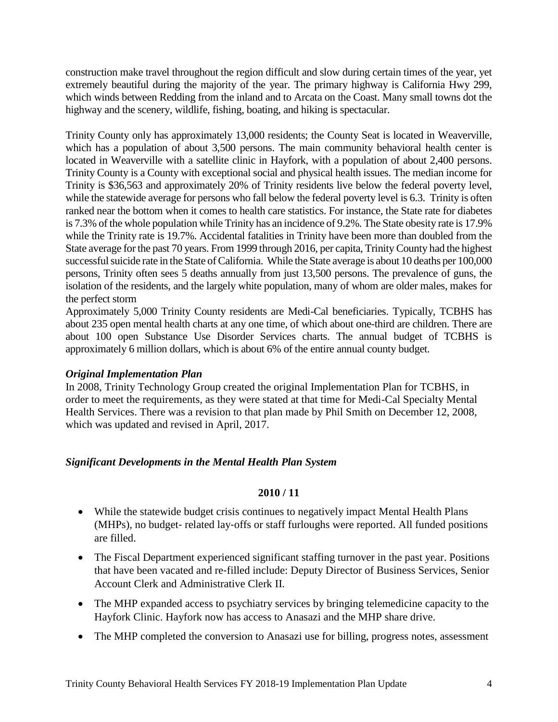construction make travel throughout the region difficult and slow during certain times of the year, yet extremely beautiful during the majority of the year. The primary highway is California Hwy 299, which winds between Redding from the inland and to Arcata on the Coast. Many small towns dot the highway and the scenery, wildlife, fishing, boating, and hiking is spectacular.

Trinity County only has approximately 13,000 residents; the County Seat is located in Weaverville, which has a population of about 3,500 persons. The main community behavioral health center is located in Weaverville with a satellite clinic in Hayfork, with a population of about 2,400 persons. Trinity County is a County with exceptional social and physical health issues. The median income for Trinity is \$36,563 and approximately 20% of Trinity residents live below the federal poverty level, while the statewide average for persons who fall below the federal poverty level is 6.3. Trinity is often ranked near the bottom when it comes to health care statistics. For instance, the State rate for diabetes is 7.3% of the whole population while Trinity has an incidence of 9.2%. The State obesity rate is 17.9% while the Trinity rate is 19.7%. Accidental fatalities in Trinity have been more than doubled from the State average for the past 70 years. From 1999 through 2016, per capita, TrinityCounty had the highest successful suicide rate in the State of California. While the State average is about 10 deaths per 100,000 persons, Trinity often sees 5 deaths annually from just 13,500 persons. The prevalence of guns, the isolation of the residents, and the largely white population, many of whom are older males, makes for the perfect storm

Approximately 5,000 Trinity County residents are Medi-Cal beneficiaries. Typically, TCBHS has about 235 open mental health charts at any one time, of which about one-third are children. There are about 100 open Substance Use Disorder Services charts. The annual budget of TCBHS is approximately 6 million dollars, which is about 6% of the entire annual county budget.

## *Original Implementation Plan*

In 2008, Trinity Technology Group created the original Implementation Plan for TCBHS, in order to meet the requirements, as they were stated at that time for Medi-Cal Specialty Mental Health Services. There was a revision to that plan made by Phil Smith on December 12, 2008, which was updated and revised in April, 2017.

## *Significant Developments in the Mental Health Plan System*

- While the statewide budget crisis continues to negatively impact Mental Health Plans (MHPs), no budget‐ related lay‐offs or staff furloughs were reported. All funded positions are filled.
- The Fiscal Department experienced significant staffing turnover in the past year. Positions that have been vacated and re‐filled include: Deputy Director of Business Services, Senior Account Clerk and Administrative Clerk II.
- The MHP expanded access to psychiatry services by bringing telemedicine capacity to the Hayfork Clinic. Hayfork now has access to Anasazi and the MHP share drive.
- The MHP completed the conversion to Anasazi use for billing, progress notes, assessment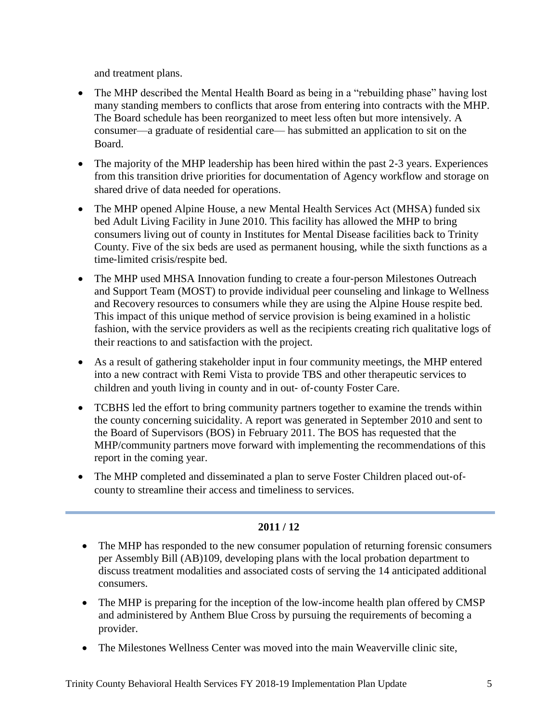and treatment plans.

- The MHP described the Mental Health Board as being in a "rebuilding phase" having lost many standing members to conflicts that arose from entering into contracts with the MHP. The Board schedule has been reorganized to meet less often but more intensively. A consumer—a graduate of residential care— has submitted an application to sit on the Board.
- The majority of the MHP leadership has been hired within the past 2-3 years. Experiences from this transition drive priorities for documentation of Agency workflow and storage on shared drive of data needed for operations.
- The MHP opened Alpine House, a new Mental Health Services Act (MHSA) funded six bed Adult Living Facility in June 2010. This facility has allowed the MHP to bring consumers living out of county in Institutes for Mental Disease facilities back to Trinity County. Five of the six beds are used as permanent housing, while the sixth functions as a time‐limited crisis/respite bed.
- The MHP used MHSA Innovation funding to create a four-person Milestones Outreach and Support Team (MOST) to provide individual peer counseling and linkage to Wellness and Recovery resources to consumers while they are using the Alpine House respite bed. This impact of this unique method of service provision is being examined in a holistic fashion, with the service providers as well as the recipients creating rich qualitative logs of their reactions to and satisfaction with the project.
- As a result of gathering stakeholder input in four community meetings, the MHP entered into a new contract with Remi Vista to provide TBS and other therapeutic services to children and youth living in county and in out‐ of‐county Foster Care.
- TCBHS led the effort to bring community partners together to examine the trends within the county concerning suicidality. A report was generated in September 2010 and sent to the Board of Supervisors (BOS) in February 2011. The BOS has requested that the MHP/community partners move forward with implementing the recommendations of this report in the coming year.
- The MHP completed and disseminated a plan to serve Foster Children placed out-ofcounty to streamline their access and timeliness to services.

- The MHP has responded to the new consumer population of returning forensic consumers per Assembly Bill (AB)109, developing plans with the local probation department to discuss treatment modalities and associated costs of serving the 14 anticipated additional consumers.
- The MHP is preparing for the inception of the low-income health plan offered by CMSP and administered by Anthem Blue Cross by pursuing the requirements of becoming a provider.
- The Milestones Wellness Center was moved into the main Weaverville clinic site,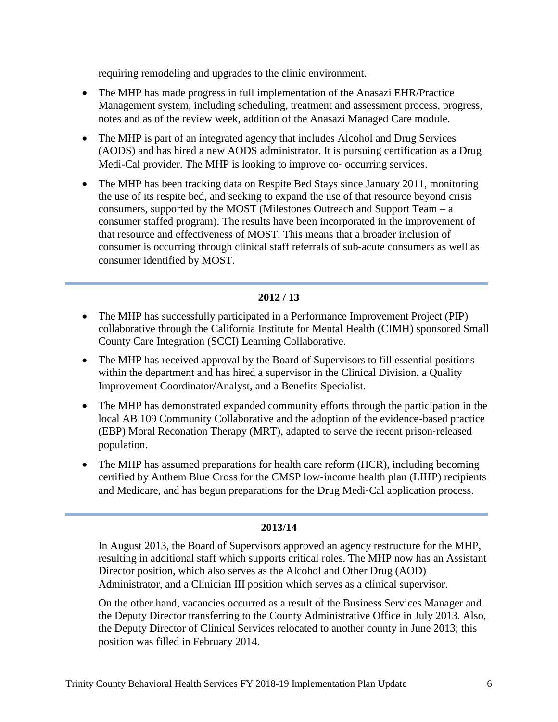requiring remodeling and upgrades to the clinic environment.

- The MHP has made progress in full implementation of the Anasazi EHR/Practice Management system, including scheduling, treatment and assessment process, progress, notes and as of the review week, addition of the Anasazi Managed Care module.
- The MHP is part of an integrated agency that includes Alcohol and Drug Services (AODS) and has hired a new AODS administrator. It is pursuing certification as a Drug Medi-Cal provider. The MHP is looking to improve co- occurring services.
- The MHP has been tracking data on Respite Bed Stays since January 2011, monitoring the use of its respite bed, and seeking to expand the use of that resource beyond crisis consumers, supported by the MOST (Milestones Outreach and Support Team – a consumer staffed program). The results have been incorporated in the improvement of that resource and effectiveness of MOST. This means that a broader inclusion of consumer is occurring through clinical staff referrals of sub‐acute consumers as well as consumer identified by MOST.

#### **2012 / 13**

- The MHP has successfully participated in a Performance Improvement Project (PIP) collaborative through the California Institute for Mental Health (CIMH) sponsored Small County Care Integration (SCCI) Learning Collaborative.
- The MHP has received approval by the Board of Supervisors to fill essential positions within the department and has hired a supervisor in the Clinical Division, a Quality Improvement Coordinator/Analyst, and a Benefits Specialist.
- The MHP has demonstrated expanded community efforts through the participation in the local AB 109 Community Collaborative and the adoption of the evidence-based practice (EBP) Moral Reconation Therapy (MRT), adapted to serve the recent prison‐released population.
- The MHP has assumed preparations for health care reform (HCR), including becoming certified by Anthem Blue Cross for the CMSP low‐income health plan (LIHP) recipients and Medicare, and has begun preparations for the Drug Medi‐Cal application process.

#### **2013/14**

In August 2013, the Board of Supervisors approved an agency restructure for the MHP, resulting in additional staff which supports critical roles. The MHP now has an Assistant Director position, which also serves as the Alcohol and Other Drug (AOD) Administrator, and a Clinician III position which serves as a clinical supervisor.

On the other hand, vacancies occurred as a result of the Business Services Manager and the Deputy Director transferring to the County Administrative Office in July 2013. Also, the Deputy Director of Clinical Services relocated to another county in June 2013; this position was filled in February 2014.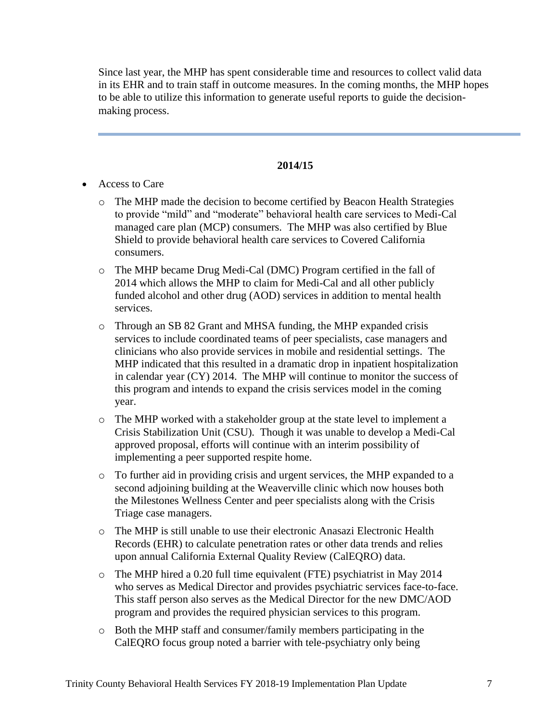Since last year, the MHP has spent considerable time and resources to collect valid data in its EHR and to train staff in outcome measures. In the coming months, the MHP hopes to be able to utilize this information to generate useful reports to guide the decisionmaking process.

- Access to Care
	- o The MHP made the decision to become certified by Beacon Health Strategies to provide "mild" and "moderate" behavioral health care services to Medi-Cal managed care plan (MCP) consumers. The MHP was also certified by Blue Shield to provide behavioral health care services to Covered California consumers.
	- o The MHP became Drug Medi-Cal (DMC) Program certified in the fall of 2014 which allows the MHP to claim for Medi-Cal and all other publicly funded alcohol and other drug (AOD) services in addition to mental health services.
	- o Through an SB 82 Grant and MHSA funding, the MHP expanded crisis services to include coordinated teams of peer specialists, case managers and clinicians who also provide services in mobile and residential settings. The MHP indicated that this resulted in a dramatic drop in inpatient hospitalization in calendar year (CY) 2014. The MHP will continue to monitor the success of this program and intends to expand the crisis services model in the coming year.
	- o The MHP worked with a stakeholder group at the state level to implement a Crisis Stabilization Unit (CSU). Though it was unable to develop a Medi-Cal approved proposal, efforts will continue with an interim possibility of implementing a peer supported respite home.
	- o To further aid in providing crisis and urgent services, the MHP expanded to a second adjoining building at the Weaverville clinic which now houses both the Milestones Wellness Center and peer specialists along with the Crisis Triage case managers.
	- o The MHP is still unable to use their electronic Anasazi Electronic Health Records (EHR) to calculate penetration rates or other data trends and relies upon annual California External Quality Review (CalEQRO) data.
	- o The MHP hired a 0.20 full time equivalent (FTE) psychiatrist in May 2014 who serves as Medical Director and provides psychiatric services face-to-face. This staff person also serves as the Medical Director for the new DMC/AOD program and provides the required physician services to this program.
	- o Both the MHP staff and consumer/family members participating in the CalEQRO focus group noted a barrier with tele-psychiatry only being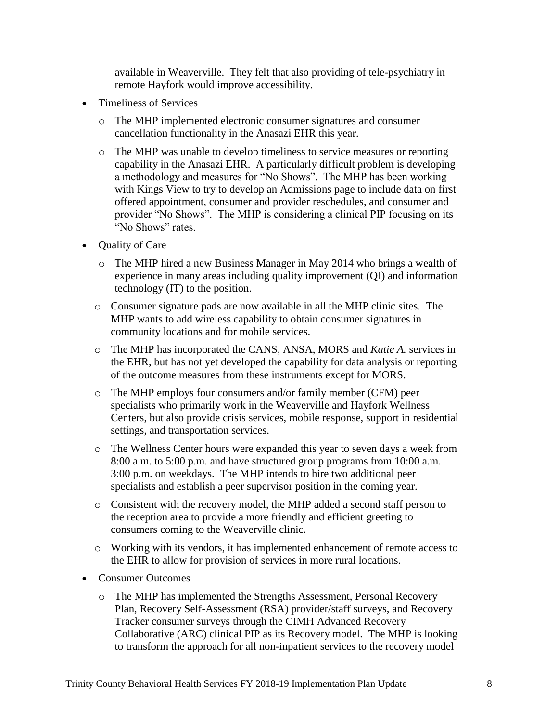available in Weaverville. They felt that also providing of tele-psychiatry in remote Hayfork would improve accessibility.

- Timeliness of Services
	- o The MHP implemented electronic consumer signatures and consumer cancellation functionality in the Anasazi EHR this year.
	- o The MHP was unable to develop timeliness to service measures or reporting capability in the Anasazi EHR. A particularly difficult problem is developing a methodology and measures for "No Shows". The MHP has been working with Kings View to try to develop an Admissions page to include data on first offered appointment, consumer and provider reschedules, and consumer and provider "No Shows". The MHP is considering a clinical PIP focusing on its "No Shows" rates.
- Quality of Care
	- o The MHP hired a new Business Manager in May 2014 who brings a wealth of experience in many areas including quality improvement (QI) and information technology (IT) to the position.
	- o Consumer signature pads are now available in all the MHP clinic sites. The MHP wants to add wireless capability to obtain consumer signatures in community locations and for mobile services.
	- o The MHP has incorporated the CANS, ANSA, MORS and *Katie A.* services in the EHR, but has not yet developed the capability for data analysis or reporting of the outcome measures from these instruments except for MORS.
	- o The MHP employs four consumers and/or family member (CFM) peer specialists who primarily work in the Weaverville and Hayfork Wellness Centers, but also provide crisis services, mobile response, support in residential settings, and transportation services.
	- o The Wellness Center hours were expanded this year to seven days a week from 8:00 a.m. to 5:00 p.m. and have structured group programs from 10:00 a.m. – 3:00 p.m. on weekdays. The MHP intends to hire two additional peer specialists and establish a peer supervisor position in the coming year.
	- o Consistent with the recovery model, the MHP added a second staff person to the reception area to provide a more friendly and efficient greeting to consumers coming to the Weaverville clinic.
	- o Working with its vendors, it has implemented enhancement of remote access to the EHR to allow for provision of services in more rural locations.
- Consumer Outcomes
	- o The MHP has implemented the Strengths Assessment, Personal Recovery Plan, Recovery Self-Assessment (RSA) provider/staff surveys, and Recovery Tracker consumer surveys through the CIMH Advanced Recovery Collaborative (ARC) clinical PIP as its Recovery model. The MHP is looking to transform the approach for all non-inpatient services to the recovery model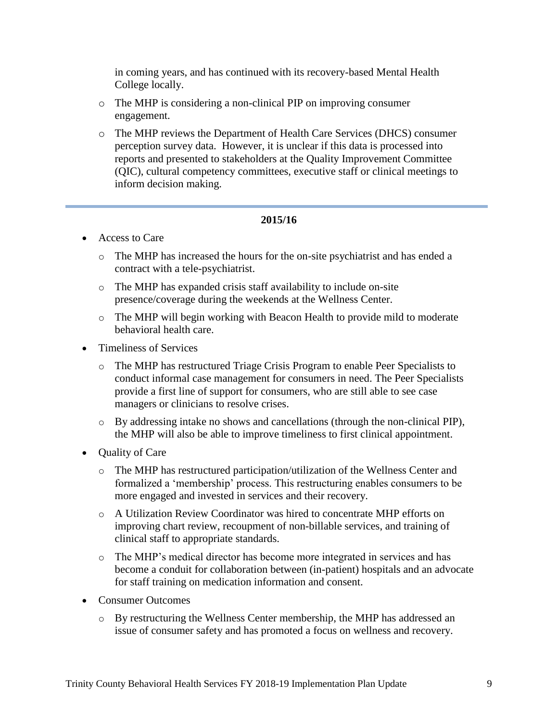in coming years, and has continued with its recovery-based Mental Health College locally.

- o The MHP is considering a non-clinical PIP on improving consumer engagement.
- o The MHP reviews the Department of Health Care Services (DHCS) consumer perception survey data. However, it is unclear if this data is processed into reports and presented to stakeholders at the Quality Improvement Committee (QIC), cultural competency committees, executive staff or clinical meetings to inform decision making.

- Access to Care
	- o The MHP has increased the hours for the on-site psychiatrist and has ended a contract with a tele-psychiatrist.
	- o The MHP has expanded crisis staff availability to include on-site presence/coverage during the weekends at the Wellness Center.
	- o The MHP will begin working with Beacon Health to provide mild to moderate behavioral health care.
- Timeliness of Services
	- o The MHP has restructured Triage Crisis Program to enable Peer Specialists to conduct informal case management for consumers in need. The Peer Specialists provide a first line of support for consumers, who are still able to see case managers or clinicians to resolve crises.
	- o By addressing intake no shows and cancellations (through the non-clinical PIP), the MHP will also be able to improve timeliness to first clinical appointment.
- Quality of Care
	- o The MHP has restructured participation/utilization of the Wellness Center and formalized a 'membership' process. This restructuring enables consumers to be more engaged and invested in services and their recovery.
	- o A Utilization Review Coordinator was hired to concentrate MHP efforts on improving chart review, recoupment of non-billable services, and training of clinical staff to appropriate standards.
	- o The MHP's medical director has become more integrated in services and has become a conduit for collaboration between (in-patient) hospitals and an advocate for staff training on medication information and consent.
- Consumer Outcomes
	- o By restructuring the Wellness Center membership, the MHP has addressed an issue of consumer safety and has promoted a focus on wellness and recovery.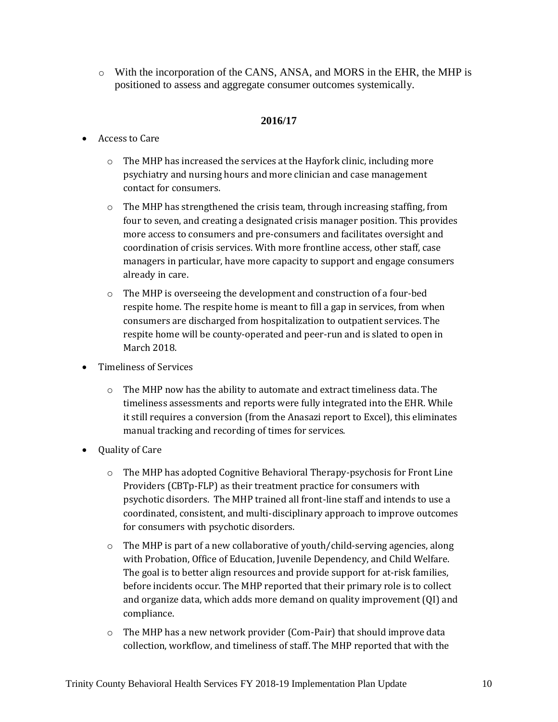o With the incorporation of the CANS, ANSA, and MORS in the EHR, the MHP is positioned to assess and aggregate consumer outcomes systemically.

- Access to Care
	- o The MHP has increased the services at the Hayfork clinic, including more psychiatry and nursing hours and more clinician and case management contact for consumers.
	- o The MHP has strengthened the crisis team, through increasing staffing, from four to seven, and creating a designated crisis manager position. This provides more access to consumers and pre-consumers and facilitates oversight and coordination of crisis services. With more frontline access, other staff, case managers in particular, have more capacity to support and engage consumers already in care.
	- $\circ$  The MHP is overseeing the development and construction of a four-bed respite home. The respite home is meant to fill a gap in services, from when consumers are discharged from hospitalization to outpatient services. The respite home will be county-operated and peer-run and is slated to open in March 2018.
- Timeliness of Services
	- $\circ$  The MHP now has the ability to automate and extract timeliness data. The timeliness assessments and reports were fully integrated into the EHR. While it still requires a conversion (from the Anasazi report to Excel), this eliminates manual tracking and recording of times for services.
- Quality of Care
	- $\circ$  The MHP has adopted Cognitive Behavioral Therapy-psychosis for Front Line Providers (CBTp-FLP) as their treatment practice for consumers with psychotic disorders. The MHP trained all front-line staff and intends to use a coordinated, consistent, and multi-disciplinary approach to improve outcomes for consumers with psychotic disorders.
	- $\circ$  The MHP is part of a new collaborative of youth/child-serving agencies, along with Probation, Office of Education, Juvenile Dependency, and Child Welfare. The goal is to better align resources and provide support for at-risk families, before incidents occur. The MHP reported that their primary role is to collect and organize data, which adds more demand on quality improvement (QI) and compliance.
	- $\circ$  The MHP has a new network provider (Com-Pair) that should improve data collection, workflow, and timeliness of staff. The MHP reported that with the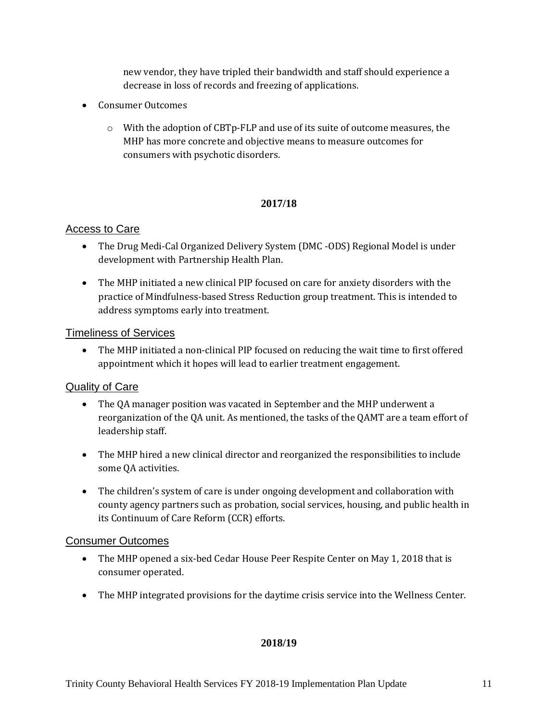new vendor, they have tripled their bandwidth and staff should experience a decrease in loss of records and freezing of applications.

- Consumer Outcomes
	- o With the adoption of CBTp-FLP and use of its suite of outcome measures, the MHP has more concrete and objective means to measure outcomes for consumers with psychotic disorders.

## **2017/18**

## Access to Care

- The Drug Medi-Cal Organized Delivery System (DMC -ODS) Regional Model is under development with Partnership Health Plan.
- The MHP initiated a new clinical PIP focused on care for anxiety disorders with the practice of Mindfulness-based Stress Reduction group treatment. This is intended to address symptoms early into treatment.

#### Timeliness of Services

• The MHP initiated a non-clinical PIP focused on reducing the wait time to first offered appointment which it hopes will lead to earlier treatment engagement.

## Quality of Care

- The QA manager position was vacated in September and the MHP underwent a reorganization of the QA unit. As mentioned, the tasks of the QAMT are a team effort of leadership staff.
- The MHP hired a new clinical director and reorganized the responsibilities to include some QA activities.
- The children's system of care is under ongoing development and collaboration with county agency partners such as probation, social services, housing, and public health in its Continuum of Care Reform (CCR) efforts.

#### Consumer Outcomes

- The MHP opened a six-bed Cedar House Peer Respite Center on May 1, 2018 that is consumer operated.
- The MHP integrated provisions for the daytime crisis service into the Wellness Center.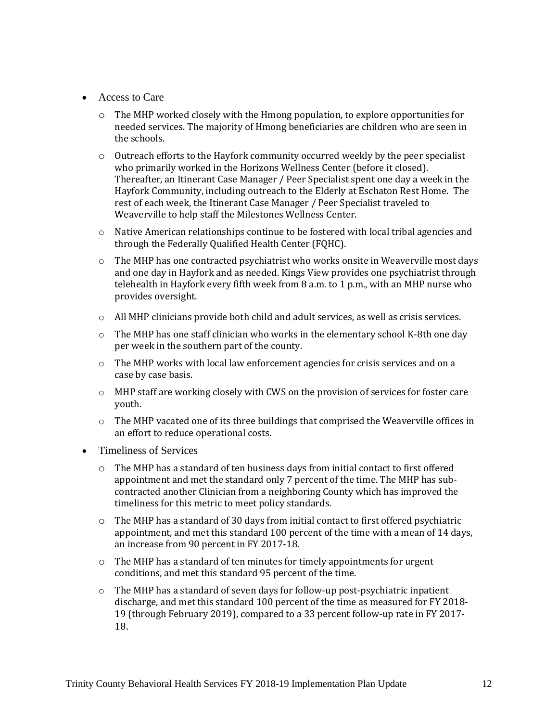- Access to Care
	- $\circ$  The MHP worked closely with the Hmong population, to explore opportunities for needed services. The majority of Hmong beneficiaries are children who are seen in the schools.
	- $\circ$  Outreach efforts to the Hayfork community occurred weekly by the peer specialist who primarily worked in the Horizons Wellness Center (before it closed). Thereafter, an Itinerant Case Manager / Peer Specialist spent one day a week in the Hayfork Community, including outreach to the Elderly at Eschaton Rest Home. The rest of each week, the Itinerant Case Manager / Peer Specialist traveled to Weaverville to help staff the Milestones Wellness Center.
	- o Native American relationships continue to be fostered with local tribal agencies and through the Federally Qualified Health Center (FQHC).
	- o The MHP has one contracted psychiatrist who works onsite in Weaverville most days and one day in Hayfork and as needed. Kings View provides one psychiatrist through telehealth in Hayfork every fifth week from 8 a.m. to 1 p.m., with an MHP nurse who provides oversight.
	- $\circ$  All MHP clinicians provide both child and adult services, as well as crisis services.
	- $\circ$  The MHP has one staff clinician who works in the elementary school K-8th one day per week in the southern part of the county.
	- $\circ$  The MHP works with local law enforcement agencies for crisis services and on a case by case basis.
	- $\circ$  MHP staff are working closely with CWS on the provision of services for foster care youth.
	- o The MHP vacated one of its three buildings that comprised the Weaverville offices in an effort to reduce operational costs.
- Timeliness of Services
	- $\circ$  The MHP has a standard of ten business days from initial contact to first offered appointment and met the standard only 7 percent of the time. The MHP has subcontracted another Clinician from a neighboring County which has improved the timeliness for this metric to meet policy standards.
	- $\circ$  The MHP has a standard of 30 days from initial contact to first offered psychiatric appointment, and met this standard 100 percent of the time with a mean of 14 days, an increase from 90 percent in FY 2017-18.
	- o The MHP has a standard of ten minutes for timely appointments for urgent conditions, and met this standard 95 percent of the time.
	- $\circ$  The MHP has a standard of seven days for follow-up post-psychiatric inpatient discharge, and met this standard 100 percent of the time as measured for FY 2018- 19 (through February 2019), compared to a 33 percent follow-up rate in FY 2017- 18.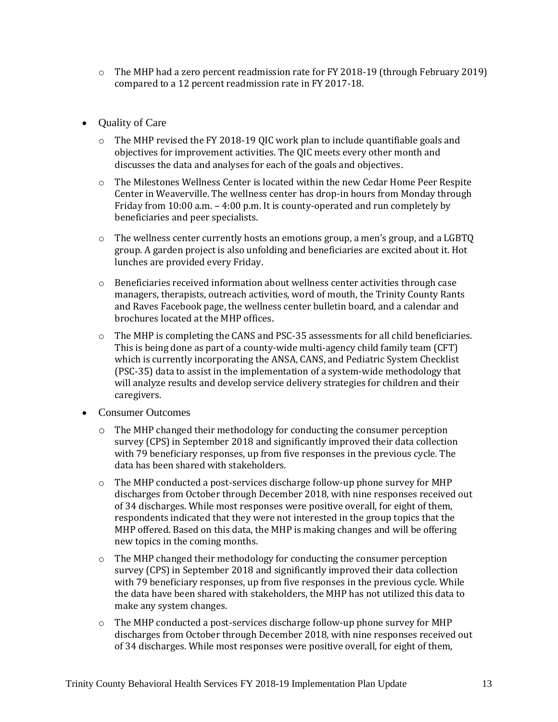- $\circ$  The MHP had a zero percent readmission rate for FY 2018-19 (through February 2019) compared to a 12 percent readmission rate in FY 2017-18.
- Quality of Care
	- o The MHP revised the FY 2018-19 QIC work plan to include quantifiable goals and objectives for improvement activities. The QIC meets every other month and discusses the data and analyses for each of the goals and objectives.
	- o The Milestones Wellness Center is located within the new Cedar Home Peer Respite Center in Weaverville. The wellness center has drop-in hours from Monday through Friday from 10:00 a.m. – 4:00 p.m. It is county-operated and run completely by beneficiaries and peer specialists.
	- $\circ$  The wellness center currently hosts an emotions group, a men's group, and a LGBTQ group. A garden project is also unfolding and beneficiaries are excited about it. Hot lunches are provided every Friday.
	- $\circ$  Beneficiaries received information about wellness center activities through case managers, therapists, outreach activities, word of mouth, the Trinity County Rants and Raves Facebook page, the wellness center bulletin board, and a calendar and brochures located at the MHP offices.
	- o The MHP is completing the CANS and PSC-35 assessments for all child beneficiaries. This is being done as part of a county-wide multi-agency child family team (CFT) which is currently incorporating the ANSA, CANS, and Pediatric System Checklist (PSC-35) data to assist in the implementation of a system-wide methodology that will analyze results and develop service delivery strategies for children and their caregivers.
- Consumer Outcomes
	- $\circ$  The MHP changed their methodology for conducting the consumer perception survey (CPS) in September 2018 and significantly improved their data collection with 79 beneficiary responses, up from five responses in the previous cycle. The data has been shared with stakeholders.
	- $\circ$  The MHP conducted a post-services discharge follow-up phone survey for MHP discharges from October through December 2018, with nine responses received out of 34 discharges. While most responses were positive overall, for eight of them, respondents indicated that they were not interested in the group topics that the MHP offered. Based on this data, the MHP is making changes and will be offering new topics in the coming months.
	- $\circ$  The MHP changed their methodology for conducting the consumer perception survey (CPS) in September 2018 and significantly improved their data collection with 79 beneficiary responses, up from five responses in the previous cycle. While the data have been shared with stakeholders, the MHP has not utilized this data to make any system changes.
	- $\circ$  The MHP conducted a post-services discharge follow-up phone survey for MHP discharges from October through December 2018, with nine responses received out of 34 discharges. While most responses were positive overall, for eight of them,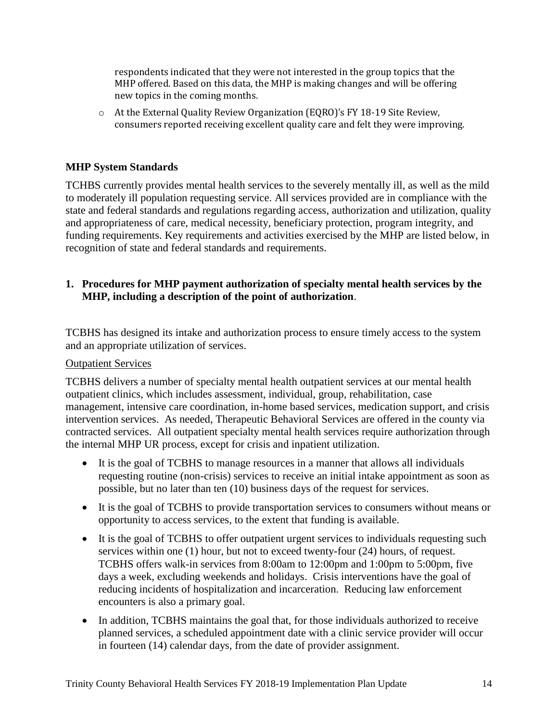respondents indicated that they were not interested in the group topics that the MHP offered. Based on this data, the MHP is making changes and will be offering new topics in the coming months.

o At the External Quality Review Organization (EQRO)'s FY 18-19 Site Review, consumers reported receiving excellent quality care and felt they were improving.

## **MHP System Standards**

TCHBS currently provides mental health services to the severely mentally ill, as well as the mild to moderately ill population requesting service. All services provided are in compliance with the state and federal standards and regulations regarding access, authorization and utilization, quality and appropriateness of care, medical necessity, beneficiary protection, program integrity, and funding requirements. Key requirements and activities exercised by the MHP are listed below, in recognition of state and federal standards and requirements.

#### **1. Procedures for MHP payment authorization of specialty mental health services by the MHP, including a description of the point of authorization**.

TCBHS has designed its intake and authorization process to ensure timely access to the system and an appropriate utilization of services.

#### Outpatient Services

TCBHS delivers a number of specialty mental health outpatient services at our mental health outpatient clinics, which includes assessment, individual, group, rehabilitation, case management, intensive care coordination, in-home based services, medication support, and crisis intervention services. As needed, Therapeutic Behavioral Services are offered in the county via contracted services. All outpatient specialty mental health services require authorization through the internal MHP UR process, except for crisis and inpatient utilization.

- It is the goal of TCBHS to manage resources in a manner that allows all individuals requesting routine (non-crisis) services to receive an initial intake appointment as soon as possible, but no later than ten (10) business days of the request for services.
- It is the goal of TCBHS to provide transportation services to consumers without means or opportunity to access services, to the extent that funding is available.
- It is the goal of TCBHS to offer outpatient urgent services to individuals requesting such services within one (1) hour, but not to exceed twenty-four (24) hours, of request. TCBHS offers walk-in services from 8:00am to 12:00pm and 1:00pm to 5:00pm, five days a week, excluding weekends and holidays. Crisis interventions have the goal of reducing incidents of hospitalization and incarceration. Reducing law enforcement encounters is also a primary goal.
- In addition, TCBHS maintains the goal that, for those individuals authorized to receive planned services, a scheduled appointment date with a clinic service provider will occur in fourteen (14) calendar days, from the date of provider assignment.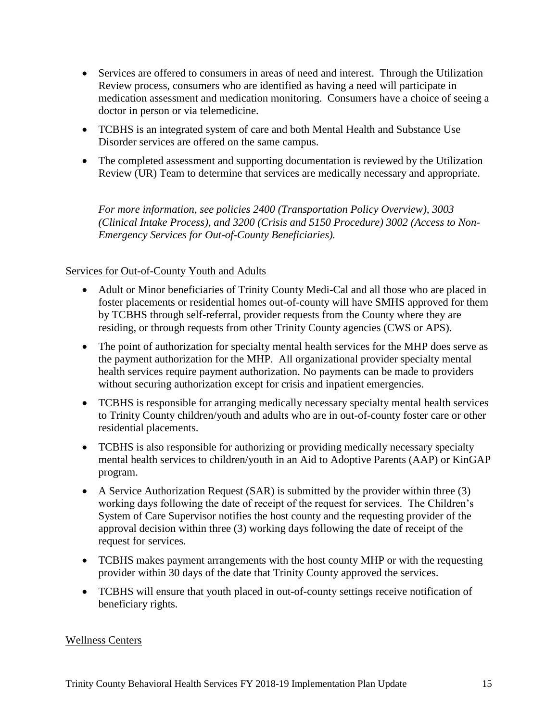- Services are offered to consumers in areas of need and interest. Through the Utilization Review process, consumers who are identified as having a need will participate in medication assessment and medication monitoring. Consumers have a choice of seeing a doctor in person or via telemedicine.
- TCBHS is an integrated system of care and both Mental Health and Substance Use Disorder services are offered on the same campus.
- The completed assessment and supporting documentation is reviewed by the Utilization Review (UR) Team to determine that services are medically necessary and appropriate.

*For more information, see policies 2400 (Transportation Policy Overview), 3003 (Clinical Intake Process), and 3200 (Crisis and 5150 Procedure) 3002 (Access to Non-Emergency Services for Out-of-County Beneficiaries).* 

## Services for Out-of-County Youth and Adults

- Adult or Minor beneficiaries of Trinity County Medi-Cal and all those who are placed in foster placements or residential homes out-of-county will have SMHS approved for them by TCBHS through self-referral, provider requests from the County where they are residing, or through requests from other Trinity County agencies (CWS or APS).
- The point of authorization for specialty mental health services for the MHP does serve as the payment authorization for the MHP. All organizational provider specialty mental health services require payment authorization. No payments can be made to providers without securing authorization except for crisis and inpatient emergencies.
- TCBHS is responsible for arranging medically necessary specialty mental health services to Trinity County children/youth and adults who are in out-of-county foster care or other residential placements.
- TCBHS is also responsible for authorizing or providing medically necessary specialty mental health services to children/youth in an Aid to Adoptive Parents (AAP) or KinGAP program.
- A Service Authorization Request (SAR) is submitted by the provider within three (3) working days following the date of receipt of the request for services. The Children's System of Care Supervisor notifies the host county and the requesting provider of the approval decision within three (3) working days following the date of receipt of the request for services.
- TCBHS makes payment arrangements with the host county MHP or with the requesting provider within 30 days of the date that Trinity County approved the services.
- TCBHS will ensure that youth placed in out-of-county settings receive notification of beneficiary rights.

#### Wellness Centers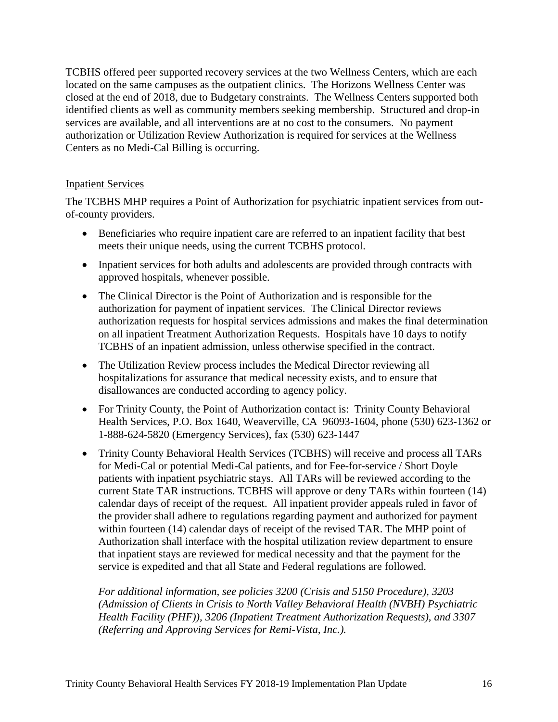TCBHS offered peer supported recovery services at the two Wellness Centers, which are each located on the same campuses as the outpatient clinics. The Horizons Wellness Center was closed at the end of 2018, due to Budgetary constraints. The Wellness Centers supported both identified clients as well as community members seeking membership. Structured and drop-in services are available, and all interventions are at no cost to the consumers. No payment authorization or Utilization Review Authorization is required for services at the Wellness Centers as no Medi-Cal Billing is occurring.

#### Inpatient Services

The TCBHS MHP requires a Point of Authorization for psychiatric inpatient services from outof-county providers.

- Beneficiaries who require inpatient care are referred to an inpatient facility that best meets their unique needs, using the current TCBHS protocol.
- Inpatient services for both adults and adolescents are provided through contracts with approved hospitals, whenever possible.
- The Clinical Director is the Point of Authorization and is responsible for the authorization for payment of inpatient services. The Clinical Director reviews authorization requests for hospital services admissions and makes the final determination on all inpatient Treatment Authorization Requests. Hospitals have 10 days to notify TCBHS of an inpatient admission, unless otherwise specified in the contract.
- The Utilization Review process includes the Medical Director reviewing all hospitalizations for assurance that medical necessity exists, and to ensure that disallowances are conducted according to agency policy.
- For Trinity County, the Point of Authorization contact is: Trinity County Behavioral Health Services, P.O. Box 1640, Weaverville, CA 96093-1604, phone (530) 623-1362 or 1-888-624-5820 (Emergency Services), fax (530) 623-1447
- Trinity County Behavioral Health Services (TCBHS) will receive and process all TARs for Medi-Cal or potential Medi-Cal patients, and for Fee-for-service / Short Doyle patients with inpatient psychiatric stays. All TARs will be reviewed according to the current State TAR instructions. TCBHS will approve or deny TARs within fourteen (14) calendar days of receipt of the request. All inpatient provider appeals ruled in favor of the provider shall adhere to regulations regarding payment and authorized for payment within fourteen (14) calendar days of receipt of the revised TAR. The MHP point of Authorization shall interface with the hospital utilization review department to ensure that inpatient stays are reviewed for medical necessity and that the payment for the service is expedited and that all State and Federal regulations are followed.

*For additional information, see policies 3200 (Crisis and 5150 Procedure), 3203 (Admission of Clients in Crisis to North Valley Behavioral Health (NVBH) Psychiatric Health Facility (PHF)), 3206 (Inpatient Treatment Authorization Requests), and 3307 (Referring and Approving Services for Remi-Vista, Inc.).*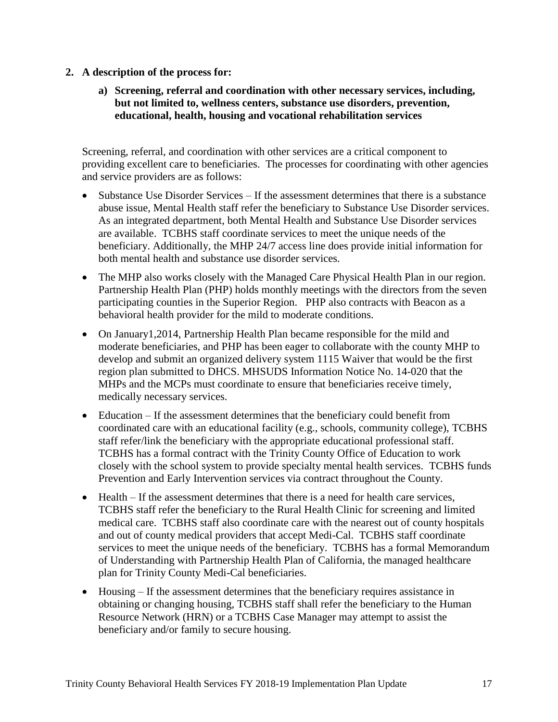- **2. A description of the process for:**
	- **a) Screening, referral and coordination with other necessary services, including, but not limited to, wellness centers, substance use disorders, prevention, educational, health, housing and vocational rehabilitation services**

Screening, referral, and coordination with other services are a critical component to providing excellent care to beneficiaries. The processes for coordinating with other agencies and service providers are as follows:

- Substance Use Disorder Services If the assessment determines that there is a substance abuse issue, Mental Health staff refer the beneficiary to Substance Use Disorder services. As an integrated department, both Mental Health and Substance Use Disorder services are available. TCBHS staff coordinate services to meet the unique needs of the beneficiary. Additionally, the MHP 24/7 access line does provide initial information for both mental health and substance use disorder services.
- The MHP also works closely with the Managed Care Physical Health Plan in our region. Partnership Health Plan (PHP) holds monthly meetings with the directors from the seven participating counties in the Superior Region. PHP also contracts with Beacon as a behavioral health provider for the mild to moderate conditions.
- On January 1, 2014, Partnership Health Plan became responsible for the mild and moderate beneficiaries, and PHP has been eager to collaborate with the county MHP to develop and submit an organized delivery system 1115 Waiver that would be the first region plan submitted to DHCS. MHSUDS Information Notice No. 14-020 that the MHPs and the MCPs must coordinate to ensure that beneficiaries receive timely, medically necessary services.
- Education If the assessment determines that the beneficiary could benefit from coordinated care with an educational facility (e.g., schools, community college), TCBHS staff refer/link the beneficiary with the appropriate educational professional staff. TCBHS has a formal contract with the Trinity County Office of Education to work closely with the school system to provide specialty mental health services. TCBHS funds Prevention and Early Intervention services via contract throughout the County.
- Health If the assessment determines that there is a need for health care services, TCBHS staff refer the beneficiary to the Rural Health Clinic for screening and limited medical care. TCBHS staff also coordinate care with the nearest out of county hospitals and out of county medical providers that accept Medi-Cal. TCBHS staff coordinate services to meet the unique needs of the beneficiary. TCBHS has a formal Memorandum of Understanding with Partnership Health Plan of California, the managed healthcare plan for Trinity County Medi-Cal beneficiaries.
- Housing If the assessment determines that the beneficiary requires assistance in obtaining or changing housing, TCBHS staff shall refer the beneficiary to the Human Resource Network (HRN) or a TCBHS Case Manager may attempt to assist the beneficiary and/or family to secure housing.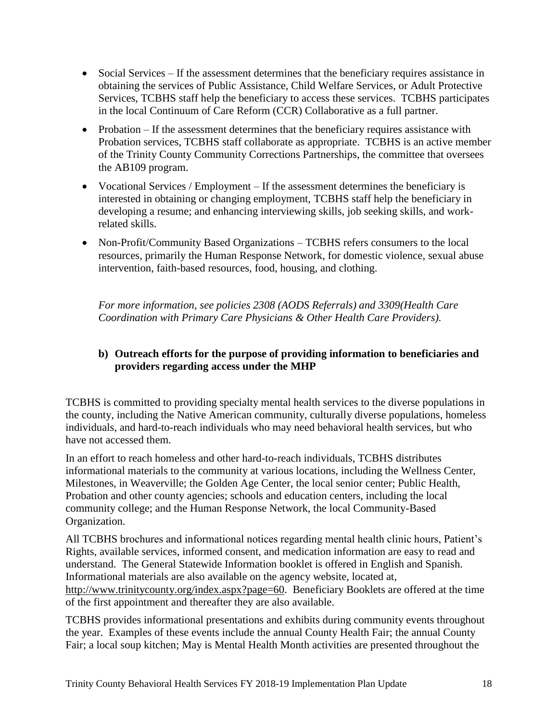- Social Services If the assessment determines that the beneficiary requires assistance in obtaining the services of Public Assistance, Child Welfare Services, or Adult Protective Services, TCBHS staff help the beneficiary to access these services. TCBHS participates in the local Continuum of Care Reform (CCR) Collaborative as a full partner.
- Probation If the assessment determines that the beneficiary requires assistance with Probation services, TCBHS staff collaborate as appropriate. TCBHS is an active member of the Trinity County Community Corrections Partnerships, the committee that oversees the AB109 program.
- Vocational Services / Employment If the assessment determines the beneficiary is interested in obtaining or changing employment, TCBHS staff help the beneficiary in developing a resume; and enhancing interviewing skills, job seeking skills, and workrelated skills.
- Non-Profit/Community Based Organizations TCBHS refers consumers to the local resources, primarily the Human Response Network, for domestic violence, sexual abuse intervention, faith-based resources, food, housing, and clothing.

*For more information, see policies 2308 (AODS Referrals) and 3309(Health Care Coordination with Primary Care Physicians & Other Health Care Providers).* 

# **b) Outreach efforts for the purpose of providing information to beneficiaries and providers regarding access under the MHP**

TCBHS is committed to providing specialty mental health services to the diverse populations in the county, including the Native American community, culturally diverse populations, homeless individuals, and hard-to-reach individuals who may need behavioral health services, but who have not accessed them.

In an effort to reach homeless and other hard-to-reach individuals, TCBHS distributes informational materials to the community at various locations, including the Wellness Center, Milestones, in Weaverville; the Golden Age Center, the local senior center; Public Health, Probation and other county agencies; schools and education centers, including the local community college; and the Human Response Network, the local Community-Based Organization.

All TCBHS brochures and informational notices regarding mental health clinic hours, Patient's Rights, available services, informed consent, and medication information are easy to read and understand. The General Statewide Information booklet is offered in English and Spanish. Informational materials are also available on the agency website, located at, [http://www.trinitycounty.org/index.aspx?page=60.](http://www.trinitycounty.org/index.aspx?page=60) Beneficiary Booklets are offered at the time of the first appointment and thereafter they are also available.

TCBHS provides informational presentations and exhibits during community events throughout the year. Examples of these events include the annual County Health Fair; the annual County Fair; a local soup kitchen; May is Mental Health Month activities are presented throughout the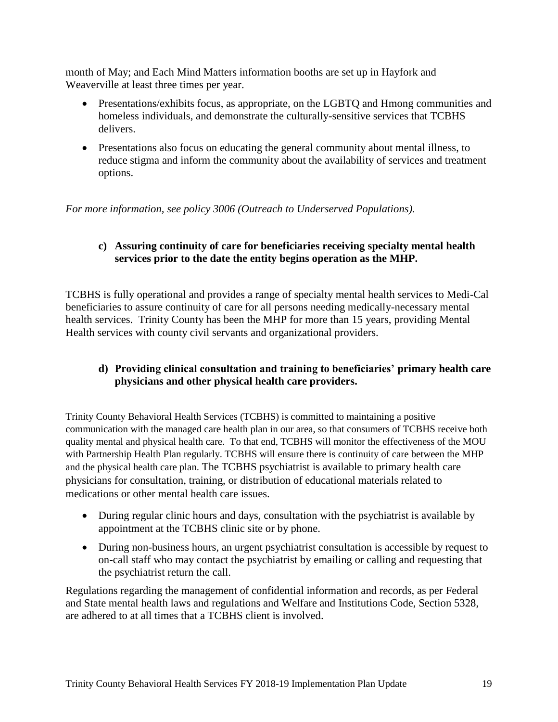month of May; and Each Mind Matters information booths are set up in Hayfork and Weaverville at least three times per year.

- Presentations/exhibits focus, as appropriate, on the LGBTQ and Hmong communities and homeless individuals, and demonstrate the culturally-sensitive services that TCBHS delivers.
- Presentations also focus on educating the general community about mental illness, to reduce stigma and inform the community about the availability of services and treatment options.

*For more information, see policy 3006 (Outreach to Underserved Populations).*

## **c) Assuring continuity of care for beneficiaries receiving specialty mental health services prior to the date the entity begins operation as the MHP.**

TCBHS is fully operational and provides a range of specialty mental health services to Medi-Cal beneficiaries to assure continuity of care for all persons needing medically-necessary mental health services. Trinity County has been the MHP for more than 15 years, providing Mental Health services with county civil servants and organizational providers.

# **d) Providing clinical consultation and training to beneficiaries' primary health care physicians and other physical health care providers.**

Trinity County Behavioral Health Services (TCBHS) is committed to maintaining a positive communication with the managed care health plan in our area, so that consumers of TCBHS receive both quality mental and physical health care. To that end, TCBHS will monitor the effectiveness of the MOU with Partnership Health Plan regularly. TCBHS will ensure there is continuity of care between the MHP and the physical health care plan. The TCBHS psychiatrist is available to primary health care physicians for consultation, training, or distribution of educational materials related to medications or other mental health care issues.

- During regular clinic hours and days, consultation with the psychiatrist is available by appointment at the TCBHS clinic site or by phone.
- During non-business hours, an urgent psychiatrist consultation is accessible by request to on-call staff who may contact the psychiatrist by emailing or calling and requesting that the psychiatrist return the call.

Regulations regarding the management of confidential information and records, as per Federal and State mental health laws and regulations and Welfare and Institutions Code, Section 5328, are adhered to at all times that a TCBHS client is involved.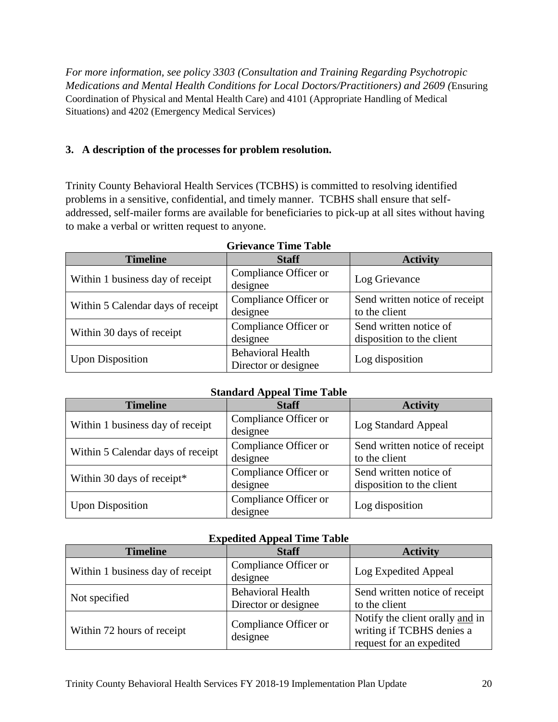*For more information, see policy 3303 (Consultation and Training Regarding Psychotropic Medications and Mental Health Conditions for Local Doctors/Practitioners) and 2609 (*Ensuring Coordination of Physical and Mental Health Care) and 4101 (Appropriate Handling of Medical Situations) and 4202 (Emergency Medical Services)

## **3. A description of the processes for problem resolution.**

Trinity County Behavioral Health Services (TCBHS) is committed to resolving identified problems in a sensitive, confidential, and timely manner. TCBHS shall ensure that selfaddressed, self-mailer forms are available for beneficiaries to pick-up at all sites without having to make a verbal or written request to anyone.

| <b>Timeline</b>                   | <b>Staff</b>                                     | <b>Activity</b>                                     |
|-----------------------------------|--------------------------------------------------|-----------------------------------------------------|
| Within 1 business day of receipt  | Compliance Officer or<br>designee                | Log Grievance                                       |
| Within 5 Calendar days of receipt | Compliance Officer or<br>designee                | Send written notice of receipt<br>to the client     |
| Within 30 days of receipt         | Compliance Officer or<br>designee                | Send written notice of<br>disposition to the client |
| <b>Upon Disposition</b>           | <b>Behavioral Health</b><br>Director or designee | Log disposition                                     |

| <b>Grievance Time Table</b> |  |  |
|-----------------------------|--|--|
|-----------------------------|--|--|

## **Standard Appeal Time Table**

| <b>Timeline</b>                   | <b>Staff</b>                      | <b>Activity</b>                                     |
|-----------------------------------|-----------------------------------|-----------------------------------------------------|
| Within 1 business day of receipt  | Compliance Officer or<br>designee | Log Standard Appeal                                 |
| Within 5 Calendar days of receipt | Compliance Officer or<br>designee | Send written notice of receipt<br>to the client     |
| Within 30 days of receipt*        | Compliance Officer or<br>designee | Send written notice of<br>disposition to the client |
| <b>Upon Disposition</b>           | Compliance Officer or<br>designee | Log disposition                                     |

## **Expedited Appeal Time Table**

| <b>Timeline</b>                  | <b>Staff</b>                                     | <b>Activity</b>                                                                          |
|----------------------------------|--------------------------------------------------|------------------------------------------------------------------------------------------|
| Within 1 business day of receipt | Compliance Officer or<br>designee                | Log Expedited Appeal                                                                     |
| Not specified                    | <b>Behavioral Health</b><br>Director or designee | Send written notice of receipt<br>to the client                                          |
| Within 72 hours of receipt       | Compliance Officer or<br>designee                | Notify the client orally and in<br>writing if TCBHS denies a<br>request for an expedited |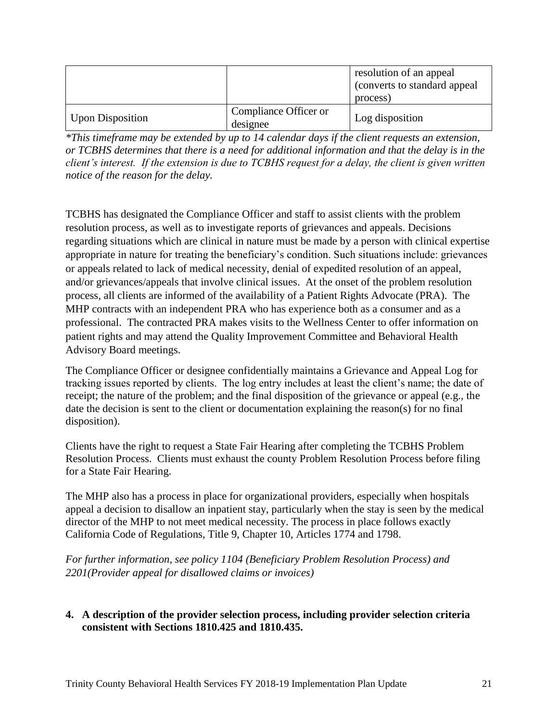|                         |                                   | resolution of an appeal<br>(converts to standard appeal)<br>process) |
|-------------------------|-----------------------------------|----------------------------------------------------------------------|
| <b>Upon Disposition</b> | Compliance Officer or<br>designee | Log disposition                                                      |

*\*This timeframe may be extended by up to 14 calendar days if the client requests an extension, or TCBHS determines that there is a need for additional information and that the delay is in the client's interest. If the extension is due to TCBHS request for a delay, the client is given written notice of the reason for the delay.*

TCBHS has designated the Compliance Officer and staff to assist clients with the problem resolution process, as well as to investigate reports of grievances and appeals. Decisions regarding situations which are clinical in nature must be made by a person with clinical expertise appropriate in nature for treating the beneficiary's condition. Such situations include: grievances or appeals related to lack of medical necessity, denial of expedited resolution of an appeal, and/or grievances/appeals that involve clinical issues. At the onset of the problem resolution process, all clients are informed of the availability of a Patient Rights Advocate (PRA). The MHP contracts with an independent PRA who has experience both as a consumer and as a professional. The contracted PRA makes visits to the Wellness Center to offer information on patient rights and may attend the Quality Improvement Committee and Behavioral Health Advisory Board meetings.

The Compliance Officer or designee confidentially maintains a Grievance and Appeal Log for tracking issues reported by clients. The log entry includes at least the client's name; the date of receipt; the nature of the problem; and the final disposition of the grievance or appeal (e.g., the date the decision is sent to the client or documentation explaining the reason(s) for no final disposition).

Clients have the right to request a State Fair Hearing after completing the TCBHS Problem Resolution Process. Clients must exhaust the county Problem Resolution Process before filing for a State Fair Hearing.

The MHP also has a process in place for organizational providers, especially when hospitals appeal a decision to disallow an inpatient stay, particularly when the stay is seen by the medical director of the MHP to not meet medical necessity. The process in place follows exactly California Code of Regulations, Title 9, Chapter 10, Articles 1774 and 1798.

*For further information, see policy 1104 (Beneficiary Problem Resolution Process) and 2201(Provider appeal for disallowed claims or invoices)*

# **4. A description of the provider selection process, including provider selection criteria consistent with Sections 1810.425 and 1810.435.**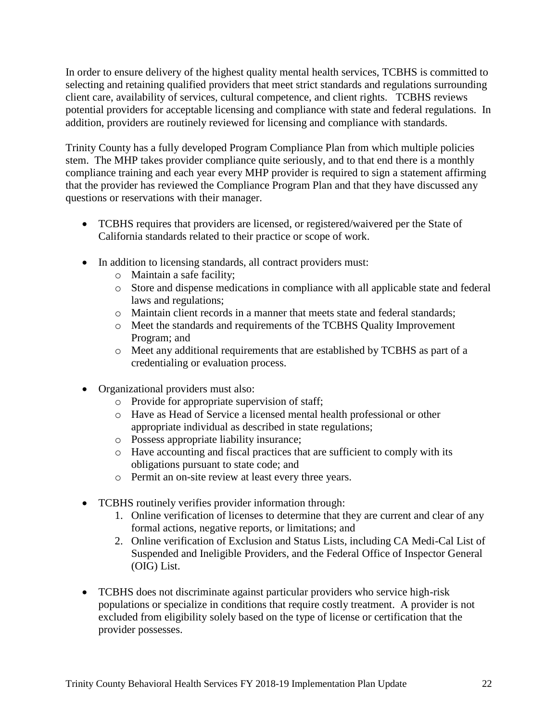In order to ensure delivery of the highest quality mental health services, TCBHS is committed to selecting and retaining qualified providers that meet strict standards and regulations surrounding client care, availability of services, cultural competence, and client rights. TCBHS reviews potential providers for acceptable licensing and compliance with state and federal regulations. In addition, providers are routinely reviewed for licensing and compliance with standards.

Trinity County has a fully developed Program Compliance Plan from which multiple policies stem. The MHP takes provider compliance quite seriously, and to that end there is a monthly compliance training and each year every MHP provider is required to sign a statement affirming that the provider has reviewed the Compliance Program Plan and that they have discussed any questions or reservations with their manager.

- TCBHS requires that providers are licensed, or registered/waivered per the State of California standards related to their practice or scope of work.
- In addition to licensing standards, all contract providers must:
	- o Maintain a safe facility;
	- o Store and dispense medications in compliance with all applicable state and federal laws and regulations;
	- o Maintain client records in a manner that meets state and federal standards;
	- o Meet the standards and requirements of the TCBHS Quality Improvement Program; and
	- o Meet any additional requirements that are established by TCBHS as part of a credentialing or evaluation process.
- Organizational providers must also:
	- o Provide for appropriate supervision of staff;
	- o Have as Head of Service a licensed mental health professional or other appropriate individual as described in state regulations;
	- o Possess appropriate liability insurance;
	- o Have accounting and fiscal practices that are sufficient to comply with its obligations pursuant to state code; and
	- o Permit an on-site review at least every three years.
- TCBHS routinely verifies provider information through:
	- 1. Online verification of licenses to determine that they are current and clear of any formal actions, negative reports, or limitations; and
	- 2. Online verification of Exclusion and Status Lists, including CA Medi-Cal List of Suspended and Ineligible Providers, and the Federal Office of Inspector General (OIG) List.
- TCBHS does not discriminate against particular providers who service high-risk populations or specialize in conditions that require costly treatment. A provider is not excluded from eligibility solely based on the type of license or certification that the provider possesses.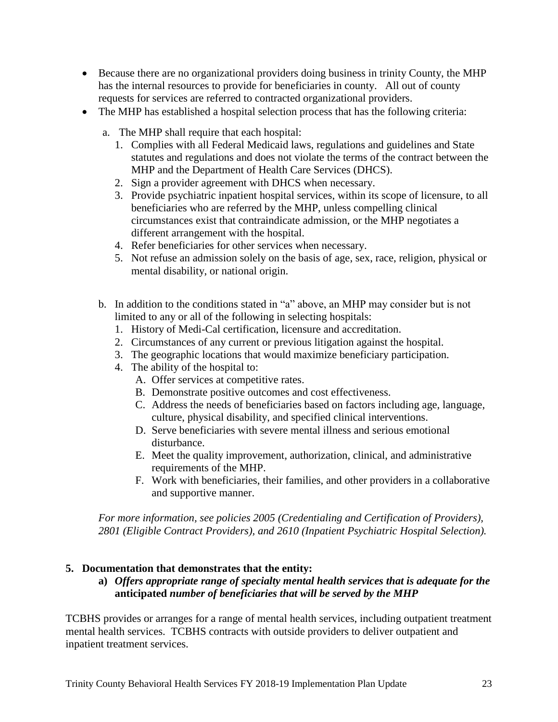- Because there are no organizational providers doing business in trinity County, the MHP has the internal resources to provide for beneficiaries in county. All out of county requests for services are referred to contracted organizational providers.
- The MHP has established a hospital selection process that has the following criteria:
	- a. The MHP shall require that each hospital:
		- 1. Complies with all Federal Medicaid laws, regulations and guidelines and State statutes and regulations and does not violate the terms of the contract between the MHP and the Department of Health Care Services (DHCS).
		- 2. Sign a provider agreement with DHCS when necessary.
		- 3. Provide psychiatric inpatient hospital services, within its scope of licensure, to all beneficiaries who are referred by the MHP, unless compelling clinical circumstances exist that contraindicate admission, or the MHP negotiates a different arrangement with the hospital.
		- 4. Refer beneficiaries for other services when necessary.
		- 5. Not refuse an admission solely on the basis of age, sex, race, religion, physical or mental disability, or national origin.
	- b. In addition to the conditions stated in "a" above, an MHP may consider but is not limited to any or all of the following in selecting hospitals:
		- 1. History of Medi-Cal certification, licensure and accreditation.
		- 2. Circumstances of any current or previous litigation against the hospital.
		- 3. The geographic locations that would maximize beneficiary participation.
		- 4. The ability of the hospital to:
			- A. Offer services at competitive rates.
			- B. Demonstrate positive outcomes and cost effectiveness.
			- C. Address the needs of beneficiaries based on factors including age, language, culture, physical disability, and specified clinical interventions.
			- D. Serve beneficiaries with severe mental illness and serious emotional disturbance.
			- E. Meet the quality improvement, authorization, clinical, and administrative requirements of the MHP.
			- F. Work with beneficiaries, their families, and other providers in a collaborative and supportive manner.

*For more information, see policies 2005 (Credentialing and Certification of Providers), 2801 (Eligible Contract Providers), and 2610 (Inpatient Psychiatric Hospital Selection).* 

# **5. Documentation that demonstrates that the entity:**

## **a)** *Offers appropriate range of specialty mental health services that is adequate for the*  **anticipated** *number of beneficiaries that will be served by the MHP*

TCBHS provides or arranges for a range of mental health services, including outpatient treatment mental health services. TCBHS contracts with outside providers to deliver outpatient and inpatient treatment services.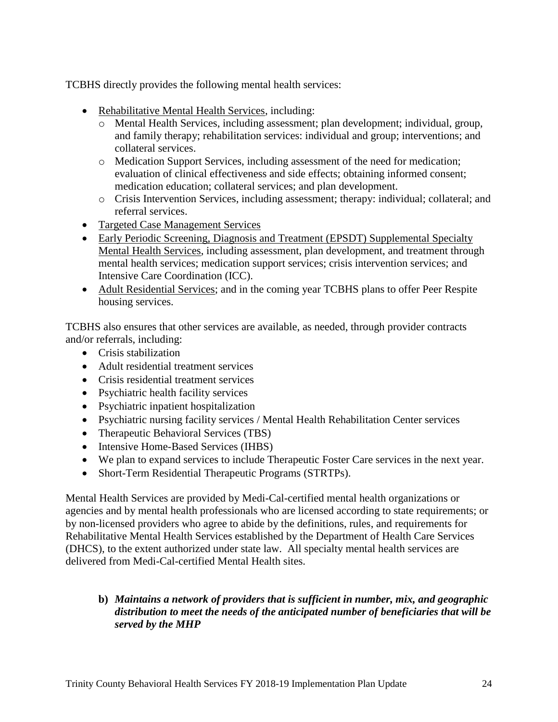TCBHS directly provides the following mental health services:

- Rehabilitative Mental Health Services, including:
	- o Mental Health Services, including assessment; plan development; individual, group, and family therapy; rehabilitation services: individual and group; interventions; and collateral services.
	- o Medication Support Services, including assessment of the need for medication; evaluation of clinical effectiveness and side effects; obtaining informed consent; medication education; collateral services; and plan development.
	- o Crisis Intervention Services, including assessment; therapy: individual; collateral; and referral services.
- Targeted Case Management Services
- Early Periodic Screening, Diagnosis and Treatment (EPSDT) Supplemental Specialty Mental Health Services, including assessment, plan development, and treatment through mental health services; medication support services; crisis intervention services; and Intensive Care Coordination (ICC).
- Adult Residential Services; and in the coming year TCBHS plans to offer Peer Respite housing services.

TCBHS also ensures that other services are available, as needed, through provider contracts and/or referrals, including:

- Crisis stabilization
- Adult residential treatment services
- Crisis residential treatment services
- Psychiatric health facility services
- Psychiatric inpatient hospitalization
- Psychiatric nursing facility services / Mental Health Rehabilitation Center services
- Therapeutic Behavioral Services (TBS)
- Intensive Home-Based Services (IHBS)
- We plan to expand services to include Therapeutic Foster Care services in the next year.
- Short-Term Residential Therapeutic Programs (STRTPs).

Mental Health Services are provided by Medi-Cal-certified mental health organizations or agencies and by mental health professionals who are licensed according to state requirements; or by non-licensed providers who agree to abide by the definitions, rules, and requirements for Rehabilitative Mental Health Services established by the Department of Health Care Services (DHCS), to the extent authorized under state law. All specialty mental health services are delivered from Medi-Cal-certified Mental Health sites.

## **b)** *Maintains a network of providers that is sufficient in number, mix, and geographic distribution to meet the needs of the anticipated number of beneficiaries that will be served by the MHP*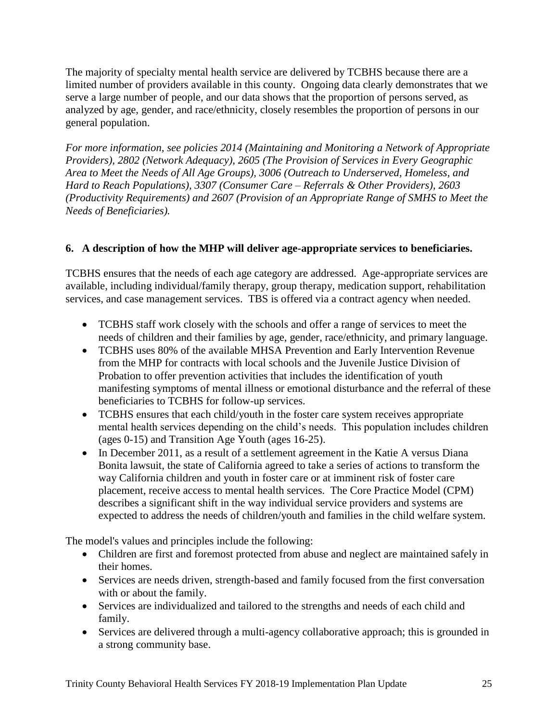The majority of specialty mental health service are delivered by TCBHS because there are a limited number of providers available in this county. Ongoing data clearly demonstrates that we serve a large number of people, and our data shows that the proportion of persons served, as analyzed by age, gender, and race/ethnicity, closely resembles the proportion of persons in our general population.

*For more information, see policies 2014 (Maintaining and Monitoring a Network of Appropriate Providers), 2802 (Network Adequacy), 2605 (The Provision of Services in Every Geographic Area to Meet the Needs of All Age Groups), 3006 (Outreach to Underserved, Homeless, and Hard to Reach Populations), 3307 (Consumer Care – Referrals & Other Providers), 2603 (Productivity Requirements) and 2607 (Provision of an Appropriate Range of SMHS to Meet the Needs of Beneficiaries).* 

# **6. A description of how the MHP will deliver age-appropriate services to beneficiaries.**

TCBHS ensures that the needs of each age category are addressed. Age-appropriate services are available, including individual/family therapy, group therapy, medication support, rehabilitation services, and case management services. TBS is offered via a contract agency when needed.

- TCBHS staff work closely with the schools and offer a range of services to meet the needs of children and their families by age, gender, race/ethnicity, and primary language.
- TCBHS uses 80% of the available MHSA Prevention and Early Intervention Revenue from the MHP for contracts with local schools and the Juvenile Justice Division of Probation to offer prevention activities that includes the identification of youth manifesting symptoms of mental illness or emotional disturbance and the referral of these beneficiaries to TCBHS for follow-up services.
- TCBHS ensures that each child/youth in the foster care system receives appropriate mental health services depending on the child's needs. This population includes children (ages 0-15) and Transition Age Youth (ages 16-25).
- In December 2011, as a result of a settlement agreement in the Katie A versus Diana Bonita lawsuit, the state of California agreed to take a series of actions to transform the way California children and youth in foster care or at imminent risk of foster care placement, receive access to mental health services. The Core Practice Model (CPM) describes a significant shift in the way individual service providers and systems are expected to address the needs of children/youth and families in the child welfare system.

The model's values and principles include the following:

- Children are first and foremost protected from abuse and neglect are maintained safely in their homes.
- Services are needs driven, strength-based and family focused from the first conversation with or about the family.
- Services are individualized and tailored to the strengths and needs of each child and family.
- Services are delivered through a multi-agency collaborative approach; this is grounded in a strong community base.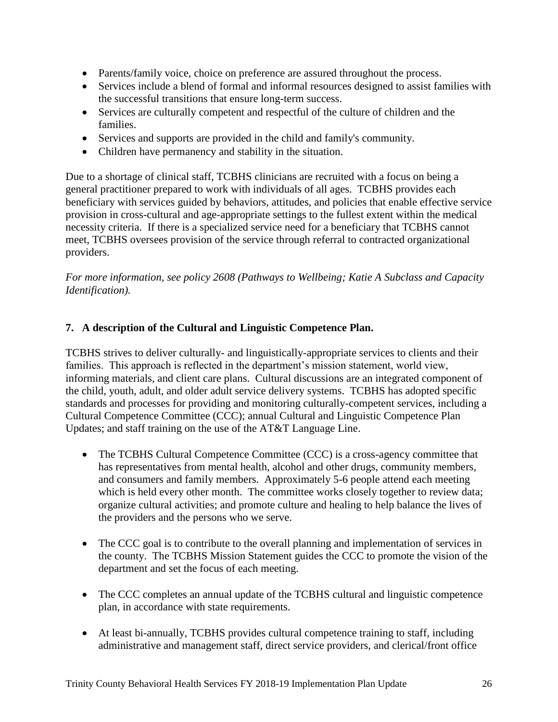- Parents/family voice, choice on preference are assured throughout the process.
- Services include a blend of formal and informal resources designed to assist families with the successful transitions that ensure long-term success.
- Services are culturally competent and respectful of the culture of children and the families.
- Services and supports are provided in the child and family's community.
- Children have permanency and stability in the situation.

Due to a shortage of clinical staff, TCBHS clinicians are recruited with a focus on being a general practitioner prepared to work with individuals of all ages. TCBHS provides each beneficiary with services guided by behaviors, attitudes, and policies that enable effective service provision in cross-cultural and age-appropriate settings to the fullest extent within the medical necessity criteria. If there is a specialized service need for a beneficiary that TCBHS cannot meet, TCBHS oversees provision of the service through referral to contracted organizational providers.

*For more information, see policy 2608 (Pathways to Wellbeing; Katie A Subclass and Capacity Identification).* 

# **7. A description of the Cultural and Linguistic Competence Plan.**

TCBHS strives to deliver culturally- and linguistically-appropriate services to clients and their families. This approach is reflected in the department's mission statement, world view, informing materials, and client care plans. Cultural discussions are an integrated component of the child, youth, adult, and older adult service delivery systems. TCBHS has adopted specific standards and processes for providing and monitoring culturally-competent services, including a Cultural Competence Committee (CCC); annual Cultural and Linguistic Competence Plan Updates; and staff training on the use of the AT&T Language Line.

- The TCBHS Cultural Competence Committee (CCC) is a cross-agency committee that has representatives from mental health, alcohol and other drugs, community members, and consumers and family members. Approximately 5-6 people attend each meeting which is held every other month. The committee works closely together to review data; organize cultural activities; and promote culture and healing to help balance the lives of the providers and the persons who we serve.
- The CCC goal is to contribute to the overall planning and implementation of services in the county. The TCBHS Mission Statement guides the CCC to promote the vision of the department and set the focus of each meeting.
- The CCC completes an annual update of the TCBHS cultural and linguistic competence plan, in accordance with state requirements.
- At least bi-annually, TCBHS provides cultural competence training to staff, including administrative and management staff, direct service providers, and clerical/front office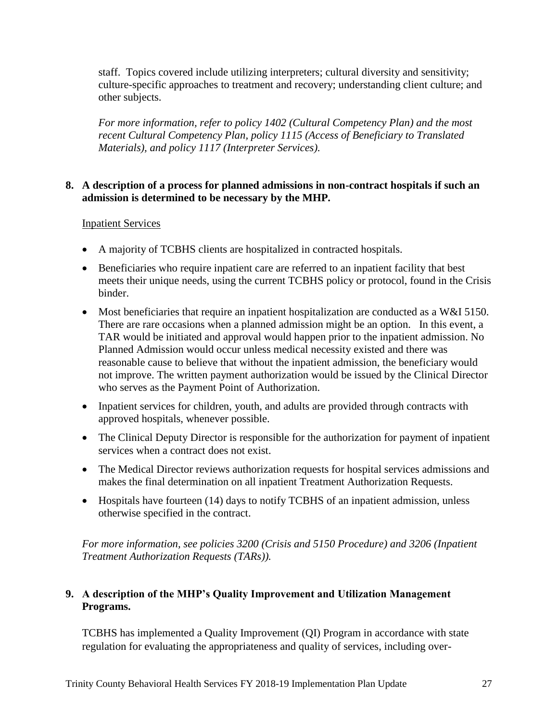staff. Topics covered include utilizing interpreters; cultural diversity and sensitivity; culture-specific approaches to treatment and recovery; understanding client culture; and other subjects.

*For more information, refer to policy 1402 (Cultural Competency Plan) and the most recent Cultural Competency Plan, policy 1115 (Access of Beneficiary to Translated Materials), and policy 1117 (Interpreter Services).*

## **8. A description of a process for planned admissions in non-contract hospitals if such an admission is determined to be necessary by the MHP.**

## Inpatient Services

- A majority of TCBHS clients are hospitalized in contracted hospitals.
- Beneficiaries who require inpatient care are referred to an inpatient facility that best meets their unique needs, using the current TCBHS policy or protocol, found in the Crisis binder.
- Most beneficiaries that require an inpatient hospitalization are conducted as a W&I 5150. There are rare occasions when a planned admission might be an option. In this event, a TAR would be initiated and approval would happen prior to the inpatient admission. No Planned Admission would occur unless medical necessity existed and there was reasonable cause to believe that without the inpatient admission, the beneficiary would not improve. The written payment authorization would be issued by the Clinical Director who serves as the Payment Point of Authorization.
- Inpatient services for children, youth, and adults are provided through contracts with approved hospitals, whenever possible.
- The Clinical Deputy Director is responsible for the authorization for payment of inpatient services when a contract does not exist.
- The Medical Director reviews authorization requests for hospital services admissions and makes the final determination on all inpatient Treatment Authorization Requests.
- Hospitals have fourteen (14) days to notify TCBHS of an inpatient admission, unless otherwise specified in the contract.

*For more information, see policies 3200 (Crisis and 5150 Procedure) and 3206 (Inpatient Treatment Authorization Requests (TARs)).* 

# **9. A description of the MHP's Quality Improvement and Utilization Management Programs.**

TCBHS has implemented a Quality Improvement (QI) Program in accordance with state regulation for evaluating the appropriateness and quality of services, including over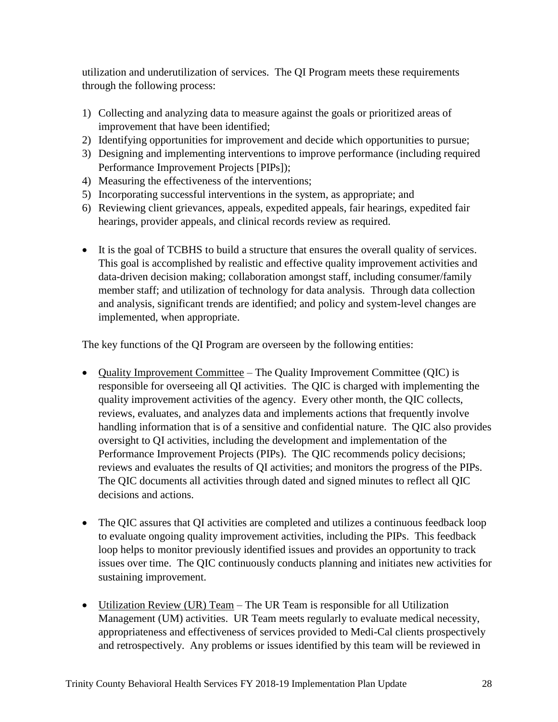utilization and underutilization of services. The QI Program meets these requirements through the following process:

- 1) Collecting and analyzing data to measure against the goals or prioritized areas of improvement that have been identified;
- 2) Identifying opportunities for improvement and decide which opportunities to pursue;
- 3) Designing and implementing interventions to improve performance (including required Performance Improvement Projects [PIPs]);
- 4) Measuring the effectiveness of the interventions;
- 5) Incorporating successful interventions in the system, as appropriate; and
- 6) Reviewing client grievances, appeals, expedited appeals, fair hearings, expedited fair hearings, provider appeals, and clinical records review as required.
- It is the goal of TCBHS to build a structure that ensures the overall quality of services. This goal is accomplished by realistic and effective quality improvement activities and data-driven decision making; collaboration amongst staff, including consumer/family member staff; and utilization of technology for data analysis. Through data collection and analysis, significant trends are identified; and policy and system-level changes are implemented, when appropriate.

The key functions of the QI Program are overseen by the following entities:

- Quality Improvement Committee The Quality Improvement Committee (QIC) is responsible for overseeing all QI activities. The QIC is charged with implementing the quality improvement activities of the agency. Every other month, the QIC collects, reviews, evaluates, and analyzes data and implements actions that frequently involve handling information that is of a sensitive and confidential nature. The QIC also provides oversight to QI activities, including the development and implementation of the Performance Improvement Projects (PIPs). The QIC recommends policy decisions; reviews and evaluates the results of QI activities; and monitors the progress of the PIPs. The QIC documents all activities through dated and signed minutes to reflect all QIC decisions and actions.
- The QIC assures that QI activities are completed and utilizes a continuous feedback loop to evaluate ongoing quality improvement activities, including the PIPs. This feedback loop helps to monitor previously identified issues and provides an opportunity to track issues over time. The QIC continuously conducts planning and initiates new activities for sustaining improvement.
- Utilization Review (UR) Team The UR Team is responsible for all Utilization Management (UM) activities. UR Team meets regularly to evaluate medical necessity, appropriateness and effectiveness of services provided to Medi-Cal clients prospectively and retrospectively. Any problems or issues identified by this team will be reviewed in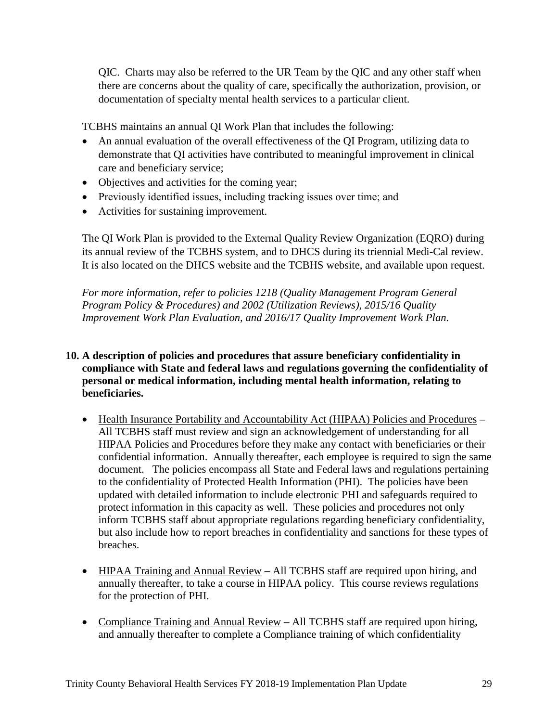QIC. Charts may also be referred to the UR Team by the QIC and any other staff when there are concerns about the quality of care, specifically the authorization, provision, or documentation of specialty mental health services to a particular client.

TCBHS maintains an annual QI Work Plan that includes the following:

- An annual evaluation of the overall effectiveness of the OI Program, utilizing data to demonstrate that QI activities have contributed to meaningful improvement in clinical care and beneficiary service;
- Objectives and activities for the coming year;
- Previously identified issues, including tracking issues over time; and
- Activities for sustaining improvement.

The QI Work Plan is provided to the External Quality Review Organization (EQRO) during its annual review of the TCBHS system, and to DHCS during its triennial Medi-Cal review. It is also located on the DHCS website and the TCBHS website, and available upon request.

*For more information, refer to policies 1218 (Quality Management Program General Program Policy & Procedures) and 2002 (Utilization Reviews), 2015/16 Quality Improvement Work Plan Evaluation, and 2016/17 Quality Improvement Work Plan.* 

## **10. A description of policies and procedures that assure beneficiary confidentiality in compliance with State and federal laws and regulations governing the confidentiality of personal or medical information, including mental health information, relating to beneficiaries.**

- Health Insurance Portability and Accountability Act (HIPAA) Policies and Procedures **–** All TCBHS staff must review and sign an acknowledgement of understanding for all HIPAA Policies and Procedures before they make any contact with beneficiaries or their confidential information. Annually thereafter, each employee is required to sign the same document. The policies encompass all State and Federal laws and regulations pertaining to the confidentiality of Protected Health Information (PHI). The policies have been updated with detailed information to include electronic PHI and safeguards required to protect information in this capacity as well. These policies and procedures not only inform TCBHS staff about appropriate regulations regarding beneficiary confidentiality, but also include how to report breaches in confidentiality and sanctions for these types of breaches.
- HIPAA Training and Annual Review **–** All TCBHS staff are required upon hiring, and annually thereafter, to take a course in HIPAA policy. This course reviews regulations for the protection of PHI.
- Compliance Training and Annual Review **–** All TCBHS staff are required upon hiring, and annually thereafter to complete a Compliance training of which confidentiality